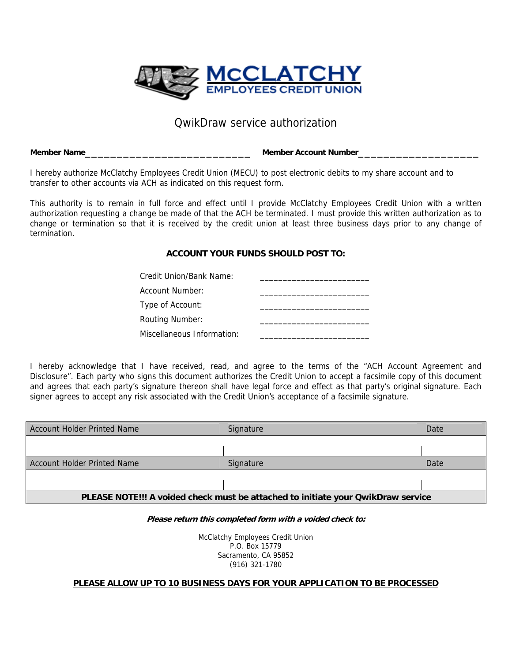

## QwikDraw service authorization

**Member Name**\_\_\_\_\_\_\_\_\_\_\_\_\_\_\_\_\_\_\_\_\_\_\_\_\_\_ **Member Account Number**\_\_\_\_\_\_\_\_\_\_\_\_\_\_\_\_\_\_\_

I hereby authorize McClatchy Employees Credit Union (MECU) to post electronic debits to my share account and to transfer to other accounts via ACH as indicated on this request form.

This authority is to remain in full force and effect until I provide McClatchy Employees Credit Union with a written authorization requesting a change be made of that the ACH be terminated. I must provide this written authorization as to change or termination so that it is received by the credit union at least three business days prior to any change of termination.

### **ACCOUNT YOUR FUNDS SHOULD POST TO:**

| Credit Union/Bank Name:    |  |
|----------------------------|--|
| Account Number:            |  |
| Type of Account:           |  |
| <b>Routing Number:</b>     |  |
| Miscellaneous Information: |  |

I hereby acknowledge that I have received, read, and agree to the terms of the "ACH Account Agreement and Disclosure". Each party who signs this document authorizes the Credit Union to accept a facsimile copy of this document and agrees that each party's signature thereon shall have legal force and effect as that party's original signature. Each signer agrees to accept any risk associated with the Credit Union's acceptance of a facsimile signature.

| Account Holder Printed Name                                                      | Signature | Date |
|----------------------------------------------------------------------------------|-----------|------|
|                                                                                  |           |      |
|                                                                                  |           |      |
| <b>Account Holder Printed Name</b>                                               | Signature | Date |
|                                                                                  |           |      |
|                                                                                  |           |      |
| PLEASE NOTE!!! A voided check must be attached to initiate your QwikDraw service |           |      |

#### **Please return this completed form with a voided check to:**

McClatchy Employees Credit Union P.O. Box 15779 Sacramento, CA 95852 (916) 321-1780

### **PLEASE ALLOW UP TO 10 BUSINESS DAYS FOR YOUR APPLICATION TO BE PROCESSED**